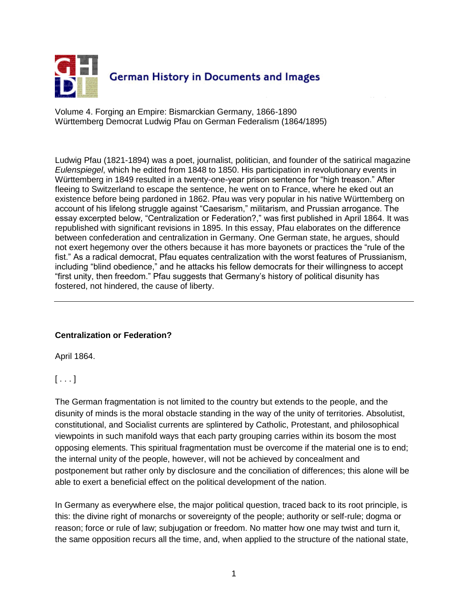

Volume 4. Forging an Empire: Bismarckian Germany, 1866-1890 Württemberg Democrat Ludwig Pfau on German Federalism (1864/1895)

Ludwig Pfau (1821-1894) was a poet, journalist, politician, and founder of the satirical magazine *Eulenspiegel*, which he edited from 1848 to 1850. His participation in revolutionary events in Württemberg in 1849 resulted in a twenty-one-year prison sentence for "high treason." After fleeing to Switzerland to escape the sentence, he went on to France, where he eked out an existence before being pardoned in 1862. Pfau was very popular in his native Württemberg on account of his lifelong struggle against "Caesarism," militarism, and Prussian arrogance. The essay excerpted below, "Centralization or Federation?," was first published in April 1864. It was republished with significant revisions in 1895. In this essay, Pfau elaborates on the difference between confederation and centralization in Germany. One German state, he argues, should not exert hegemony over the others because it has more bayonets or practices the "rule of the fist." As a radical democrat, Pfau equates centralization with the worst features of Prussianism, including "blind obedience," and he attacks his fellow democrats for their willingness to accept "first unity, then freedom." Pfau suggests that Germany's history of political disunity has fostered, not hindered, the cause of liberty.

### **Centralization or Federation?**

April 1864.

# $[...]$

The German fragmentation is not limited to the country but extends to the people, and the disunity of minds is the moral obstacle standing in the way of the unity of territories. Absolutist, constitutional, and Socialist currents are splintered by Catholic, Protestant, and philosophical viewpoints in such manifold ways that each party grouping carries within its bosom the most opposing elements. This spiritual fragmentation must be overcome if the material one is to end; the internal unity of the people, however, will not be achieved by concealment and postponement but rather only by disclosure and the conciliation of differences; this alone will be able to exert a beneficial effect on the political development of the nation.

In Germany as everywhere else, the major political question, traced back to its root principle, is this: the divine right of monarchs or sovereignty of the people; authority or self-rule; dogma or reason; force or rule of law; subjugation or freedom. No matter how one may twist and turn it, the same opposition recurs all the time, and, when applied to the structure of the national state,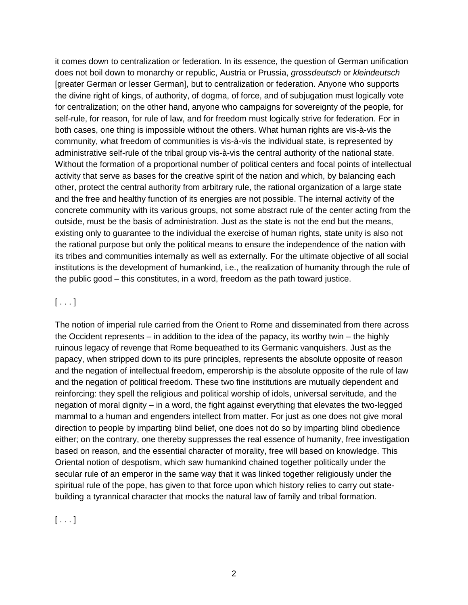it comes down to centralization or federation. In its essence, the question of German unification does not boil down to monarchy or republic, Austria or Prussia, *grossdeutsch* or *kleindeutsch* [greater German or lesser German], but to centralization or federation. Anyone who supports the divine right of kings, of authority, of dogma, of force, and of subjugation must logically vote for centralization; on the other hand, anyone who campaigns for sovereignty of the people, for self-rule, for reason, for rule of law, and for freedom must logically strive for federation. For in both cases, one thing is impossible without the others. What human rights are vis-à-vis the community, what freedom of communities is vis-à-vis the individual state, is represented by administrative self-rule of the tribal group vis-à-vis the central authority of the national state. Without the formation of a proportional number of political centers and focal points of intellectual activity that serve as bases for the creative spirit of the nation and which, by balancing each other, protect the central authority from arbitrary rule, the rational organization of a large state and the free and healthy function of its energies are not possible. The internal activity of the concrete community with its various groups, not some abstract rule of the center acting from the outside, must be the basis of administration. Just as the state is not the end but the means, existing only to guarantee to the individual the exercise of human rights, state unity is also not the rational purpose but only the political means to ensure the independence of the nation with its tribes and communities internally as well as externally. For the ultimate objective of all social institutions is the development of humankind, i.e., the realization of humanity through the rule of the public good – this constitutes, in a word, freedom as the path toward justice.

#### $[ \dots ]$

The notion of imperial rule carried from the Orient to Rome and disseminated from there across the Occident represents – in addition to the idea of the papacy, its worthy twin – the highly ruinous legacy of revenge that Rome bequeathed to its Germanic vanquishers. Just as the papacy, when stripped down to its pure principles, represents the absolute opposite of reason and the negation of intellectual freedom, emperorship is the absolute opposite of the rule of law and the negation of political freedom. These two fine institutions are mutually dependent and reinforcing: they spell the religious and political worship of idols, universal servitude, and the negation of moral dignity – in a word, the fight against everything that elevates the two-legged mammal to a human and engenders intellect from matter. For just as one does not give moral direction to people by imparting blind belief, one does not do so by imparting blind obedience either; on the contrary, one thereby suppresses the real essence of humanity, free investigation based on reason, and the essential character of morality, free will based on knowledge. This Oriental notion of despotism, which saw humankind chained together politically under the secular rule of an emperor in the same way that it was linked together religiously under the spiritual rule of the pope, has given to that force upon which history relies to carry out statebuilding a tyrannical character that mocks the natural law of family and tribal formation.

 $[\ldots]$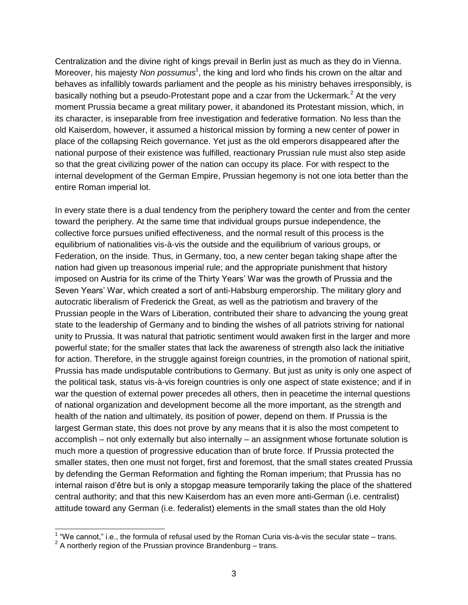Centralization and the divine right of kings prevail in Berlin just as much as they do in Vienna. Moreover, his majesty *Non possumus*<sup>1</sup>, the king and lord who finds his crown on the altar and behaves as infallibly towards parliament and the people as his ministry behaves irresponsibly, is basically nothing but a pseudo-Protestant pope and a czar from the Uckermark.<sup>2</sup> At the very moment Prussia became a great military power, it abandoned its Protestant mission, which, in its character, is inseparable from free investigation and federative formation. No less than the old Kaiserdom, however, it assumed a historical mission by forming a new center of power in place of the collapsing Reich governance. Yet just as the old emperors disappeared after the national purpose of their existence was fulfilled, reactionary Prussian rule must also step aside so that the great civilizing power of the nation can occupy its place. For with respect to the internal development of the German Empire, Prussian hegemony is not one iota better than the entire Roman imperial lot.

In every state there is a dual tendency from the periphery toward the center and from the center toward the periphery. At the same time that individual groups pursue independence, the collective force pursues unified effectiveness, and the normal result of this process is the equilibrium of nationalities vis-à-vis the outside and the equilibrium of various groups, or Federation, on the inside. Thus, in Germany, too, a new center began taking shape after the nation had given up treasonous imperial rule; and the appropriate punishment that history imposed on Austria for its crime of the Thirty Years' War was the growth of Prussia and the Seven Years' War, which created a sort of anti-Habsburg emperorship. The military glory and autocratic liberalism of Frederick the Great, as well as the patriotism and bravery of the Prussian people in the Wars of Liberation, contributed their share to advancing the young great state to the leadership of Germany and to binding the wishes of all patriots striving for national unity to Prussia. It was natural that patriotic sentiment would awaken first in the larger and more powerful state; for the smaller states that lack the awareness of strength also lack the initiative for action. Therefore, in the struggle against foreign countries, in the promotion of national spirit, Prussia has made undisputable contributions to Germany. But just as unity is only one aspect of the political task, status vis-à-vis foreign countries is only one aspect of state existence; and if in war the question of external power precedes all others, then in peacetime the internal questions of national organization and development become all the more important, as the strength and health of the nation and ultimately, its position of power, depend on them. If Prussia is the largest German state, this does not prove by any means that it is also the most competent to accomplish – not only externally but also internally – an assignment whose fortunate solution is much more a question of progressive education than of brute force. If Prussia protected the smaller states, then one must not forget, first and foremost, that the small states created Prussia by defending the German Reformation and fighting the Roman imperium; that Prussia has no internal raison d'être but is only a stopgap measure temporarily taking the place of the shattered central authority; and that this new Kaiserdom has an even more anti-German (i.e. centralist) attitude toward any German (i.e. federalist) elements in the small states than the old Holy

 1 "We cannot," i.e., the formula of refusal used by the Roman Curia vis-à-vis the secular state – trans.

 $2^2$  A northerly region of the Prussian province Brandenburg – trans.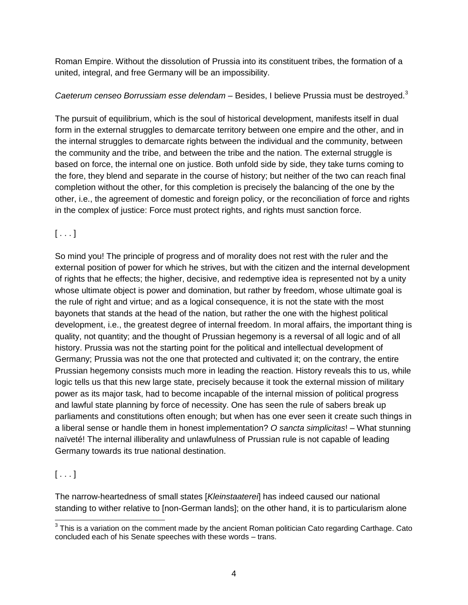Roman Empire. Without the dissolution of Prussia into its constituent tribes, the formation of a united, integral, and free Germany will be an impossibility.

### *Caeterum censeo Borrussiam esse delendam* – Besides, I believe Prussia must be destroyed.<sup>3</sup>

The pursuit of equilibrium, which is the soul of historical development, manifests itself in dual form in the external struggles to demarcate territory between one empire and the other, and in the internal struggles to demarcate rights between the individual and the community, between the community and the tribe, and between the tribe and the nation. The external struggle is based on force, the internal one on justice. Both unfold side by side, they take turns coming to the fore, they blend and separate in the course of history; but neither of the two can reach final completion without the other, for this completion is precisely the balancing of the one by the other, i.e., the agreement of domestic and foreign policy, or the reconciliation of force and rights in the complex of justice: Force must protect rights, and rights must sanction force.

# $[\ldots]$

So mind you! The principle of progress and of morality does not rest with the ruler and the external position of power for which he strives, but with the citizen and the internal development of rights that he effects; the higher, decisive, and redemptive idea is represented not by a unity whose ultimate object is power and domination, but rather by freedom, whose ultimate goal is the rule of right and virtue; and as a logical consequence, it is not the state with the most bayonets that stands at the head of the nation, but rather the one with the highest political development, i.e., the greatest degree of internal freedom. In moral affairs, the important thing is quality, not quantity; and the thought of Prussian hegemony is a reversal of all logic and of all history. Prussia was not the starting point for the political and intellectual development of Germany; Prussia was not the one that protected and cultivated it; on the contrary, the entire Prussian hegemony consists much more in leading the reaction. History reveals this to us, while logic tells us that this new large state, precisely because it took the external mission of military power as its major task, had to become incapable of the internal mission of political progress and lawful state planning by force of necessity. One has seen the rule of sabers break up parliaments and constitutions often enough; but when has one ever seen it create such things in a liberal sense or handle them in honest implementation? *O sancta simplicitas*! – What stunning naïveté! The internal illiberality and unlawfulness of Prussian rule is not capable of leading Germany towards its true national destination.

# $[\ldots]$

The narrow-heartedness of small states [*Kleinstaaterei*] has indeed caused our national standing to wither relative to [non-German lands]; on the other hand, it is to particularism alone

 3 This is a variation on the comment made by the ancient Roman politician Cato regarding Carthage. Cato concluded each of his Senate speeches with these words – trans.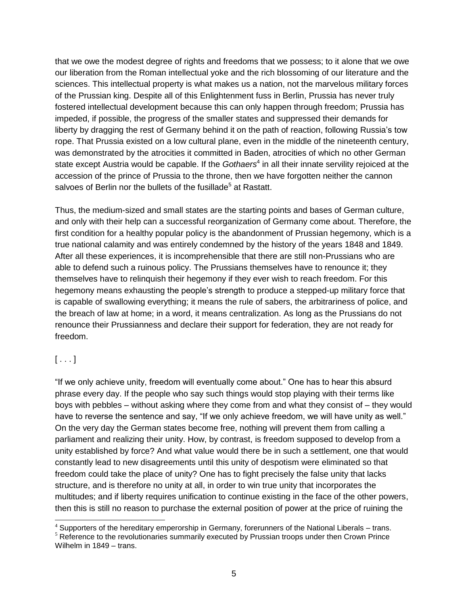that we owe the modest degree of rights and freedoms that we possess; to it alone that we owe our liberation from the Roman intellectual yoke and the rich blossoming of our literature and the sciences. This intellectual property is what makes us a nation, not the marvelous military forces of the Prussian king. Despite all of this Enlightenment fuss in Berlin, Prussia has never truly fostered intellectual development because this can only happen through freedom; Prussia has impeded, if possible, the progress of the smaller states and suppressed their demands for liberty by dragging the rest of Germany behind it on the path of reaction, following Russia's tow rope. That Prussia existed on a low cultural plane, even in the middle of the nineteenth century, was demonstrated by the atrocities it committed in Baden, atrocities of which no other German state except Austria would be capable. If the *Gothaers*<sup>4</sup> in all their innate servility rejoiced at the accession of the prince of Prussia to the throne, then we have forgotten neither the cannon salvoes of Berlin nor the bullets of the fusillade<sup>5</sup> at Rastatt.

Thus, the medium-sized and small states are the starting points and bases of German culture, and only with their help can a successful reorganization of Germany come about. Therefore, the first condition for a healthy popular policy is the abandonment of Prussian hegemony, which is a true national calamity and was entirely condemned by the history of the years 1848 and 1849. After all these experiences, it is incomprehensible that there are still non-Prussians who are able to defend such a ruinous policy. The Prussians themselves have to renounce it; they themselves have to relinquish their hegemony if they ever wish to reach freedom. For this hegemony means exhausting the people's strength to produce a stepped-up military force that is capable of swallowing everything; it means the rule of sabers, the arbitrariness of police, and the breach of law at home; in a word, it means centralization. As long as the Prussians do not renounce their Prussianness and declare their support for federation, they are not ready for freedom.

### $[ \dots ]$

 $\overline{a}$ 

"If we only achieve unity, freedom will eventually come about." One has to hear this absurd phrase every day. If the people who say such things would stop playing with their terms like boys with pebbles – without asking where they come from and what they consist of – they would have to reverse the sentence and say, "If we only achieve freedom, we will have unity as well." On the very day the German states become free, nothing will prevent them from calling a parliament and realizing their unity. How, by contrast, is freedom supposed to develop from a unity established by force? And what value would there be in such a settlement, one that would constantly lead to new disagreements until this unity of despotism were eliminated so that freedom could take the place of unity? One has to fight precisely the false unity that lacks structure, and is therefore no unity at all, in order to win true unity that incorporates the multitudes; and if liberty requires unification to continue existing in the face of the other powers, then this is still no reason to purchase the external position of power at the price of ruining the

<sup>4</sup> Supporters of the hereditary emperorship in Germany, forerunners of the National Liberals – trans.

<sup>&</sup>lt;sup>5</sup> Reference to the revolutionaries summarily executed by Prussian troops under then Crown Prince Wilhelm in 1849 – trans.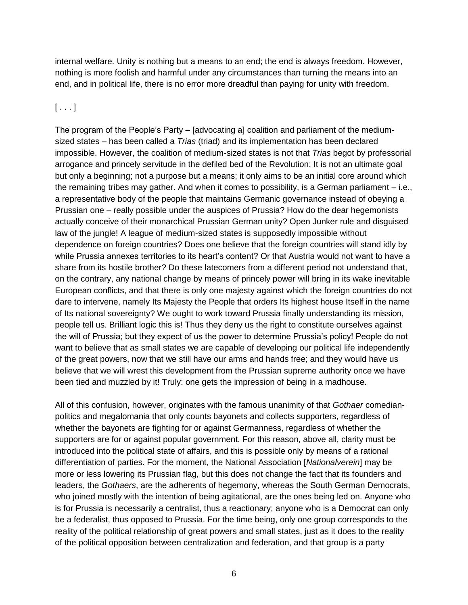internal welfare. Unity is nothing but a means to an end; the end is always freedom. However, nothing is more foolish and harmful under any circumstances than turning the means into an end, and in political life, there is no error more dreadful than paying for unity with freedom.

# $[\ldots]$

The program of the People's Party – [advocating a] coalition and parliament of the mediumsized states – has been called a *Trias* (triad) and its implementation has been declared impossible. However, the coalition of medium-sized states is not that *Trias* begot by professorial arrogance and princely servitude in the defiled bed of the Revolution: It is not an ultimate goal but only a beginning; not a purpose but a means; it only aims to be an initial core around which the remaining tribes may gather. And when it comes to possibility, is a German parliament – i.e., a representative body of the people that maintains Germanic governance instead of obeying a Prussian one – really possible under the auspices of Prussia? How do the dear hegemonists actually conceive of their monarchical Prussian German unity? Open Junker rule and disguised law of the jungle! A league of medium-sized states is supposedly impossible without dependence on foreign countries? Does one believe that the foreign countries will stand idly by while Prussia annexes territories to its heart's content? Or that Austria would not want to have a share from its hostile brother? Do these latecomers from a different period not understand that, on the contrary, any national change by means of princely power will bring in its wake inevitable European conflicts, and that there is only one majesty against which the foreign countries do not dare to intervene, namely Its Majesty the People that orders Its highest house Itself in the name of Its national sovereignty? We ought to work toward Prussia finally understanding its mission, people tell us. Brilliant logic this is! Thus they deny us the right to constitute ourselves against the will of Prussia; but they expect of us the power to determine Prussia's policy! People do not want to believe that as small states we are capable of developing our political life independently of the great powers, now that we still have our arms and hands free; and they would have us believe that we will wrest this development from the Prussian supreme authority once we have been tied and muzzled by it! Truly: one gets the impression of being in a madhouse.

All of this confusion, however, originates with the famous unanimity of that *Gothaer* comedianpolitics and megalomania that only counts bayonets and collects supporters, regardless of whether the bayonets are fighting for or against Germanness, regardless of whether the supporters are for or against popular government. For this reason, above all, clarity must be introduced into the political state of affairs, and this is possible only by means of a rational differentiation of parties. For the moment, the National Association [*Nationalverein*] may be more or less lowering its Prussian flag, but this does not change the fact that its founders and leaders, the *Gothaers*, are the adherents of hegemony, whereas the South German Democrats, who joined mostly with the intention of being agitational, are the ones being led on. Anyone who is for Prussia is necessarily a centralist, thus a reactionary; anyone who is a Democrat can only be a federalist, thus opposed to Prussia. For the time being, only one group corresponds to the reality of the political relationship of great powers and small states, just as it does to the reality of the political opposition between centralization and federation, and that group is a party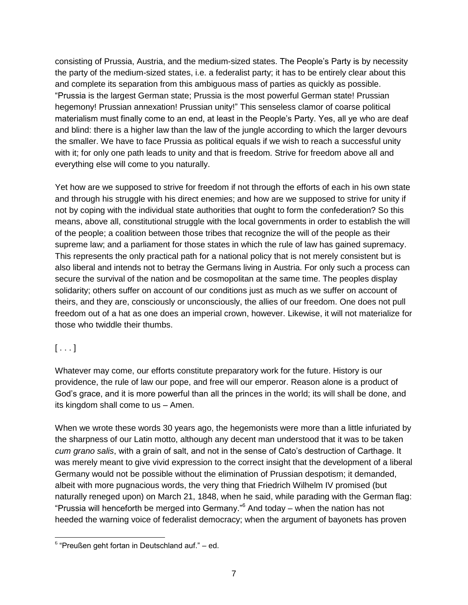consisting of Prussia, Austria, and the medium-sized states. The People's Party is by necessity the party of the medium-sized states, i.e. a federalist party; it has to be entirely clear about this and complete its separation from this ambiguous mass of parties as quickly as possible. "Prussia is the largest German state; Prussia is the most powerful German state! Prussian hegemony! Prussian annexation! Prussian unity!" This senseless clamor of coarse political materialism must finally come to an end, at least in the People's Party. Yes, all ye who are deaf and blind: there is a higher law than the law of the jungle according to which the larger devours the smaller. We have to face Prussia as political equals if we wish to reach a successful unity with it; for only one path leads to unity and that is freedom. Strive for freedom above all and everything else will come to you naturally.

Yet how are we supposed to strive for freedom if not through the efforts of each in his own state and through his struggle with his direct enemies; and how are we supposed to strive for unity if not by coping with the individual state authorities that ought to form the confederation? So this means, above all, constitutional struggle with the local governments in order to establish the will of the people; a coalition between those tribes that recognize the will of the people as their supreme law; and a parliament for those states in which the rule of law has gained supremacy. This represents the only practical path for a national policy that is not merely consistent but is also liberal and intends not to betray the Germans living in Austria. For only such a process can secure the survival of the nation and be cosmopolitan at the same time. The peoples display solidarity; others suffer on account of our conditions just as much as we suffer on account of theirs, and they are, consciously or unconsciously, the allies of our freedom. One does not pull freedom out of a hat as one does an imperial crown, however. Likewise, it will not materialize for those who twiddle their thumbs.

### $[\ldots]$

Whatever may come, our efforts constitute preparatory work for the future. History is our providence, the rule of law our pope, and free will our emperor. Reason alone is a product of God's grace, and it is more powerful than all the princes in the world; its will shall be done, and its kingdom shall come to us – Amen.

When we wrote these words 30 years ago, the hegemonists were more than a little infuriated by the sharpness of our Latin motto, although any decent man understood that it was to be taken *cum grano salis*, with a grain of salt, and not in the sense of Cato's destruction of Carthage. It was merely meant to give vivid expression to the correct insight that the development of a liberal Germany would not be possible without the elimination of Prussian despotism; it demanded, albeit with more pugnacious words, the very thing that Friedrich Wilhelm IV promised (but naturally reneged upon) on March 21, 1848, when he said, while parading with the German flag: "Prussia will henceforth be merged into Germany." $6$  And today – when the nation has not heeded the warning voice of federalist democracy; when the argument of bayonets has proven

l  $6$  "Preußen geht fortan in Deutschland auf."  $-$  ed.